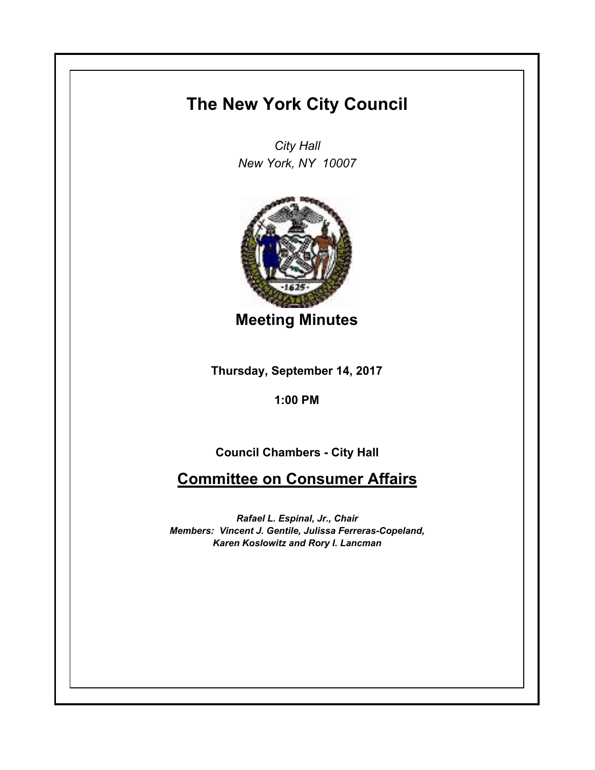# **The New York City Council**

*City Hall New York, NY 10007*



**Meeting Minutes**

**Thursday, September 14, 2017**

**1:00 PM**

**Council Chambers - City Hall**

**Committee on Consumer Affairs**

*Rafael L. Espinal, Jr., Chair Members: Vincent J. Gentile, Julissa Ferreras-Copeland, Karen Koslowitz and Rory I. Lancman*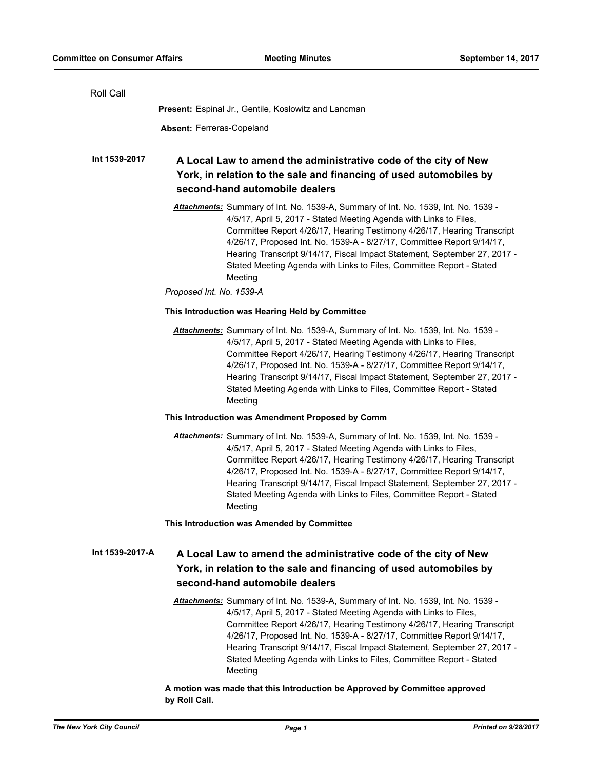| <b>Roll Call</b> |                                                                                                                                                                                                                                                                                                                                                                                                                                                                                                           |
|------------------|-----------------------------------------------------------------------------------------------------------------------------------------------------------------------------------------------------------------------------------------------------------------------------------------------------------------------------------------------------------------------------------------------------------------------------------------------------------------------------------------------------------|
|                  | Present: Espinal Jr., Gentile, Koslowitz and Lancman                                                                                                                                                                                                                                                                                                                                                                                                                                                      |
|                  | <b>Absent: Ferreras-Copeland</b>                                                                                                                                                                                                                                                                                                                                                                                                                                                                          |
| Int 1539-2017    | A Local Law to amend the administrative code of the city of New<br>York, in relation to the sale and financing of used automobiles by<br>second-hand automobile dealers                                                                                                                                                                                                                                                                                                                                   |
|                  | Attachments: Summary of Int. No. 1539-A, Summary of Int. No. 1539, Int. No. 1539 -<br>4/5/17, April 5, 2017 - Stated Meeting Agenda with Links to Files,<br>Committee Report 4/26/17, Hearing Testimony 4/26/17, Hearing Transcript<br>4/26/17, Proposed Int. No. 1539-A - 8/27/17, Committee Report 9/14/17,<br>Hearing Transcript 9/14/17, Fiscal Impact Statement, September 27, 2017 -<br>Stated Meeting Agenda with Links to Files, Committee Report - Stated<br>Meeting<br>Proposed Int. No. 1539-A |
|                  | This Introduction was Hearing Held by Committee                                                                                                                                                                                                                                                                                                                                                                                                                                                           |
|                  | Attachments: Summary of Int. No. 1539-A, Summary of Int. No. 1539, Int. No. 1539 -<br>4/5/17, April 5, 2017 - Stated Meeting Agenda with Links to Files,<br>Committee Report 4/26/17, Hearing Testimony 4/26/17, Hearing Transcript<br>4/26/17, Proposed Int. No. 1539-A - 8/27/17, Committee Report 9/14/17,<br>Hearing Transcript 9/14/17, Fiscal Impact Statement, September 27, 2017 -<br>Stated Meeting Agenda with Links to Files, Committee Report - Stated<br>Meeting                             |
|                  | This Introduction was Amendment Proposed by Comm                                                                                                                                                                                                                                                                                                                                                                                                                                                          |
|                  | Attachments: Summary of Int. No. 1539-A, Summary of Int. No. 1539, Int. No. 1539 -<br>4/5/17, April 5, 2017 - Stated Meeting Agenda with Links to Files,<br>Committee Report 4/26/17, Hearing Testimony 4/26/17, Hearing Transcript<br>4/26/17, Proposed Int. No. 1539-A - 8/27/17, Committee Report 9/14/17,<br>Hearing Transcript 9/14/17, Fiscal Impact Statement, September 27, 2017 -<br>Stated Meeting Agenda with Links to Files, Committee Report - Stated<br>Meeting                             |
|                  | This Introduction was Amended by Committee                                                                                                                                                                                                                                                                                                                                                                                                                                                                |
| Int 1539-2017-A  | A Local Law to amend the administrative code of the city of New<br>York, in relation to the sale and financing of used automobiles by<br>second-hand automobile dealers                                                                                                                                                                                                                                                                                                                                   |
|                  | Attachments: Summary of Int. No. 1539-A, Summary of Int. No. 1539, Int. No. 1539 -<br>4/5/17, April 5, 2017 - Stated Meeting Agenda with Links to Files,<br>Committee Report 4/26/17, Hearing Testimony 4/26/17, Hearing Transcript<br>4/26/17, Proposed Int. No. 1539-A - 8/27/17, Committee Report 9/14/17,<br>Hearing Transcript 9/14/17, Fiscal Impact Statement, September 27, 2017 -<br>Stated Meeting Agenda with Links to Files, Committee Report - Stated<br>Meeting                             |

**A motion was made that this Introduction be Approved by Committee approved by Roll Call.**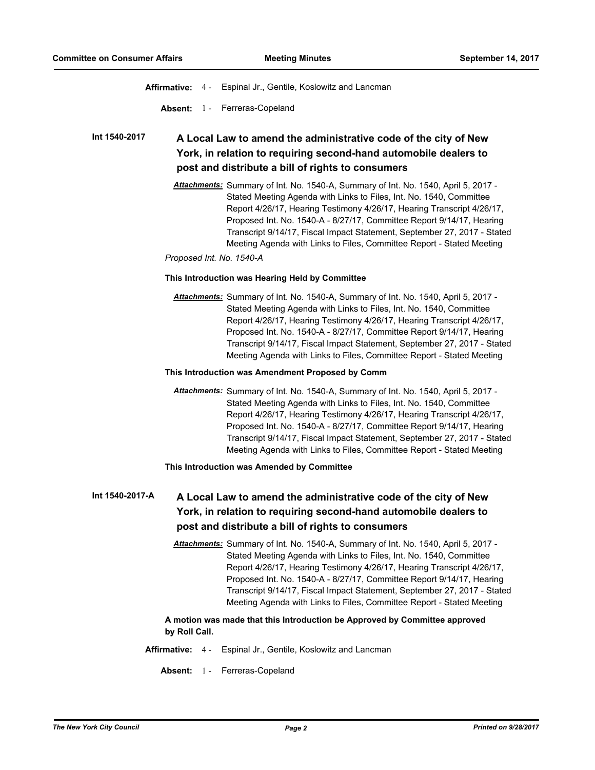**Affirmative:** 4 - Espinal Jr., Gentile, Koslowitz and Lancman

**Absent:** 1 - Ferreras-Copeland

### **A Local Law to amend the administrative code of the city of New York, in relation to requiring second-hand automobile dealers to post and distribute a bill of rights to consumers Int 1540-2017**

*Attachments:* Summary of Int. No. 1540-A, Summary of Int. No. 1540, April 5, 2017 - Stated Meeting Agenda with Links to Files, Int. No. 1540, Committee Report 4/26/17, Hearing Testimony 4/26/17, Hearing Transcript 4/26/17, Proposed Int. No. 1540-A - 8/27/17, Committee Report 9/14/17, Hearing Transcript 9/14/17, Fiscal Impact Statement, September 27, 2017 - Stated Meeting Agenda with Links to Files, Committee Report - Stated Meeting

*Proposed Int. No. 1540-A*

#### **This Introduction was Hearing Held by Committee**

*Attachments:* Summary of Int. No. 1540-A, Summary of Int. No. 1540, April 5, 2017 - Stated Meeting Agenda with Links to Files, Int. No. 1540, Committee Report 4/26/17, Hearing Testimony 4/26/17, Hearing Transcript 4/26/17, Proposed Int. No. 1540-A - 8/27/17, Committee Report 9/14/17, Hearing Transcript 9/14/17, Fiscal Impact Statement, September 27, 2017 - Stated Meeting Agenda with Links to Files, Committee Report - Stated Meeting

#### **This Introduction was Amendment Proposed by Comm**

*Attachments:* Summary of Int. No. 1540-A, Summary of Int. No. 1540, April 5, 2017 - Stated Meeting Agenda with Links to Files, Int. No. 1540, Committee Report 4/26/17, Hearing Testimony 4/26/17, Hearing Transcript 4/26/17, Proposed Int. No. 1540-A - 8/27/17, Committee Report 9/14/17, Hearing Transcript 9/14/17, Fiscal Impact Statement, September 27, 2017 - Stated Meeting Agenda with Links to Files, Committee Report - Stated Meeting

## **This Introduction was Amended by Committee**

#### **A Local Law to amend the administrative code of the city of New York, in relation to requiring second-hand automobile dealers to post and distribute a bill of rights to consumers Int 1540-2017-A**

*Attachments:* Summary of Int. No. 1540-A, Summary of Int. No. 1540, April 5, 2017 - Stated Meeting Agenda with Links to Files, Int. No. 1540, Committee Report 4/26/17, Hearing Testimony 4/26/17, Hearing Transcript 4/26/17, Proposed Int. No. 1540-A - 8/27/17, Committee Report 9/14/17, Hearing Transcript 9/14/17, Fiscal Impact Statement, September 27, 2017 - Stated Meeting Agenda with Links to Files, Committee Report - Stated Meeting

# **A motion was made that this Introduction be Approved by Committee approved by Roll Call.**

- **Affirmative:** 4 Espinal Jr., Gentile, Koslowitz and Lancman
	- **Absent:** 1 Ferreras-Copeland